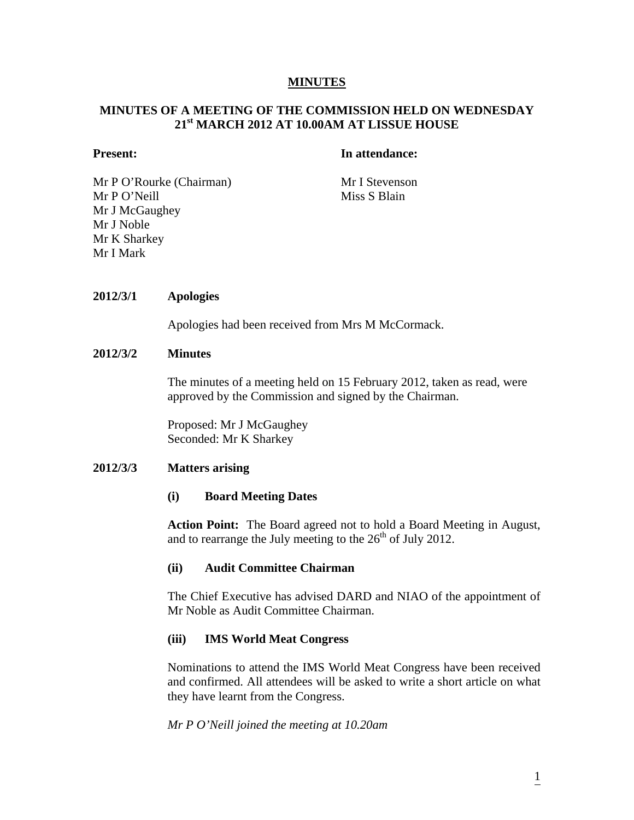#### **MINUTES**

# **MINUTES OF A MEETING OF THE COMMISSION HELD ON WEDNESDAY 21st MARCH 2012 AT 10.00AM AT LISSUE HOUSE**

# **Present:** In attendance:

Mr P O'Rourke (Chairman) Mr I Stevenson Mr P O'Neill Miss S Blain Mr J McGaughey Mr J Noble Mr K Sharkey Mr I Mark

#### **2012/3/1 Apologies**

Apologies had been received from Mrs M McCormack.

#### **2012/3/2 Minutes**

The minutes of a meeting held on 15 February 2012, taken as read, were approved by the Commission and signed by the Chairman.

Proposed: Mr J McGaughey Seconded: Mr K Sharkey

## **2012/3/3 Matters arising**

#### **(i) Board Meeting Dates**

**Action Point:** The Board agreed not to hold a Board Meeting in August, and to rearrange the July meeting to the  $26<sup>th</sup>$  of July 2012.

#### **(ii) Audit Committee Chairman**

The Chief Executive has advised DARD and NIAO of the appointment of Mr Noble as Audit Committee Chairman.

## **(iii) IMS World Meat Congress**

Nominations to attend the IMS World Meat Congress have been received and confirmed. All attendees will be asked to write a short article on what they have learnt from the Congress.

*Mr P O'Neill joined the meeting at 10.20am*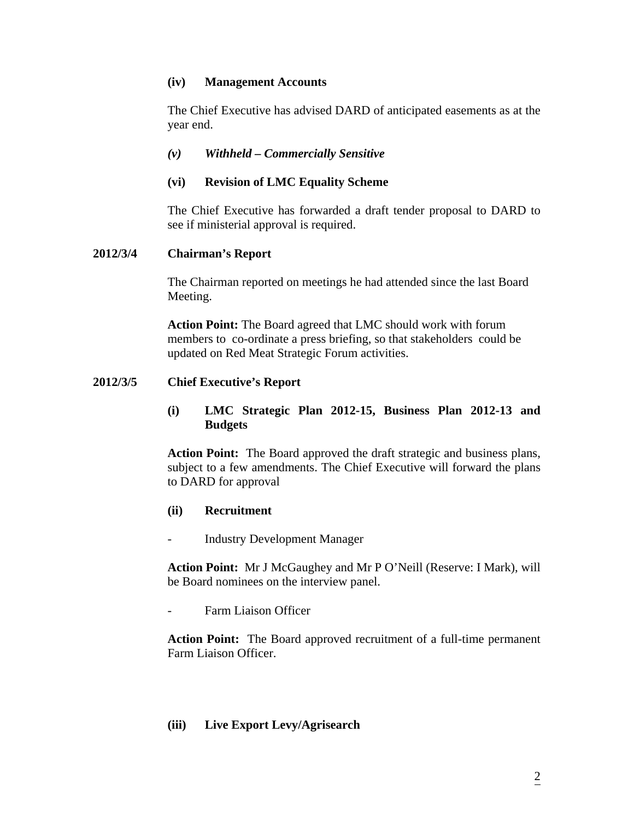# **(iv) Management Accounts**

The Chief Executive has advised DARD of anticipated easements as at the year end.

# *(v) Withheld – Commercially Sensitive*

# **(vi) Revision of LMC Equality Scheme**

The Chief Executive has forwarded a draft tender proposal to DARD to see if ministerial approval is required.

## **2012/3/4 Chairman's Report**

The Chairman reported on meetings he had attended since the last Board Meeting.

 **Action Point:** The Board agreed that LMC should work with forum members to co-ordinate a press briefing, so that stakeholders could be updated on Red Meat Strategic Forum activities.

## **2012/3/5 Chief Executive's Report**

**(i) LMC Strategic Plan 2012-15, Business Plan 2012-13 and Budgets** 

**Action Point:** The Board approved the draft strategic and business plans, subject to a few amendments. The Chief Executive will forward the plans to DARD for approval

## **(ii) Recruitment**

Industry Development Manager

**Action Point:** Mr J McGaughey and Mr P O'Neill (Reserve: I Mark), will be Board nominees on the interview panel.

Farm Liaison Officer

**Action Point:** The Board approved recruitment of a full-time permanent Farm Liaison Officer.

## **(iii) Live Export Levy/Agrisearch**